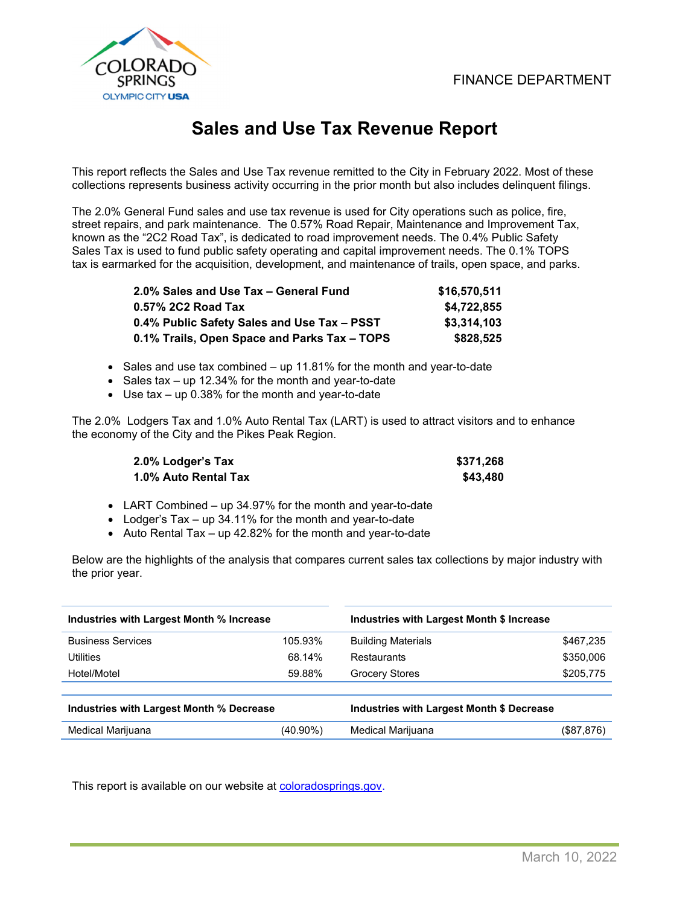

# **Sales and Use Tax Revenue Report**

This report reflects the Sales and Use Tax revenue remitted to the City in February 2022. Most of these collections represents business activity occurring in the prior month but also includes delinquent filings.

The 2.0% General Fund sales and use tax revenue is used for City operations such as police, fire, street repairs, and park maintenance. The 0.57% Road Repair, Maintenance and Improvement Tax, known as the "2C2 Road Tax", is dedicated to road improvement needs. The 0.4% Public Safety Sales Tax is used to fund public safety operating and capital improvement needs. The 0.1% TOPS tax is earmarked for the acquisition, development, and maintenance of trails, open space, and parks.

| 2.0% Sales and Use Tax - General Fund        | \$16,570,511 |
|----------------------------------------------|--------------|
| 0.57% 2C2 Road Tax                           | \$4,722,855  |
| 0.4% Public Safety Sales and Use Tax - PSST  | \$3,314,103  |
| 0.1% Trails, Open Space and Parks Tax - TOPS | \$828.525    |

- Sales and use tax combined up 11.81% for the month and year-to-date
- Sales tax up 12.34% for the month and year-to-date
- Use tax up 0.38% for the month and year-to-date

The 2.0% Lodgers Tax and 1.0% Auto Rental Tax (LART) is used to attract visitors and to enhance the economy of the City and the Pikes Peak Region.

| 2.0% Lodger's Tax    | \$371,268 |
|----------------------|-----------|
| 1.0% Auto Rental Tax | \$43,480  |

- LART Combined up 34.97% for the month and year-to-date
- Lodger's Tax up 34.11% for the month and year-to-date
- Auto Rental Tax up 42.82% for the month and year-to-date

Below are the highlights of the analysis that compares current sales tax collections by major industry with the prior year.

| Industries with Largest Month % Increase |          | Industries with Largest Month \$ Increase |             |  |  |
|------------------------------------------|----------|-------------------------------------------|-------------|--|--|
| <b>Business Services</b>                 | 105.93%  | <b>Building Materials</b>                 | \$467,235   |  |  |
| Utilities                                | 68.14%   | Restaurants                               | \$350,006   |  |  |
| Hotel/Motel                              | 59.88%   | <b>Grocery Stores</b>                     | \$205,775   |  |  |
|                                          |          |                                           |             |  |  |
| Industries with Largest Month % Decrease |          | Industries with Largest Month \$ Decrease |             |  |  |
| Medical Marijuana                        | (40.90%) | Medical Marijuana                         | (\$87, 876) |  |  |
|                                          |          |                                           |             |  |  |

This report is available on our website at coloradosprings.gov.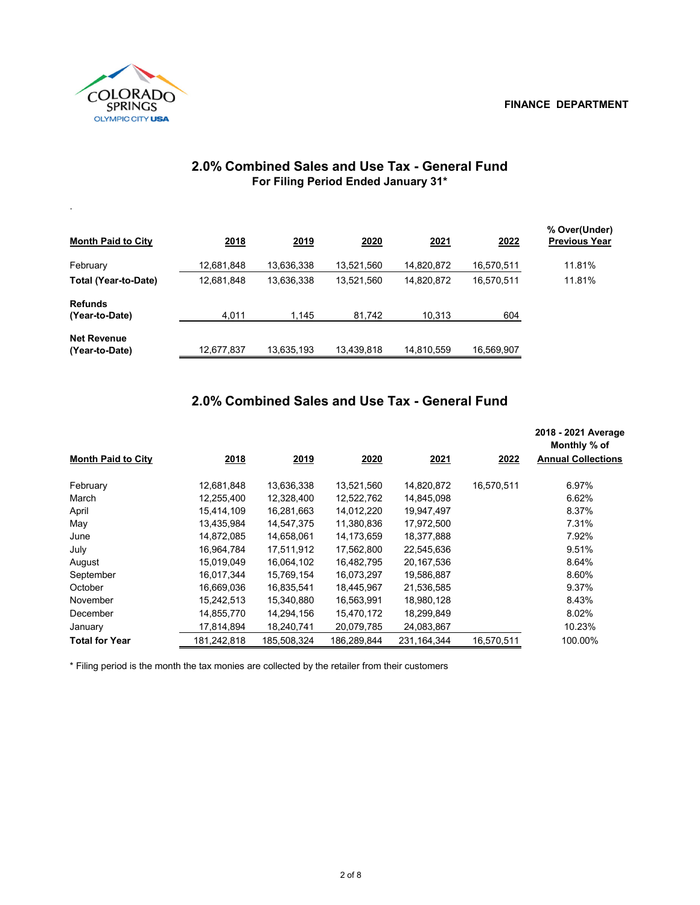#### **FINANCE DEPARTMENT**



| ۰.                          |             |             |            |            |            |                                       |
|-----------------------------|-------------|-------------|------------|------------|------------|---------------------------------------|
| <b>Month Paid to City</b>   | <u>2018</u> | <u>2019</u> | 2020       | 2021       | 2022       | % Over(Under)<br><b>Previous Year</b> |
| February                    | 12,681,848  | 13,636,338  | 13,521,560 | 14,820,872 | 16,570,511 | 11.81%                                |
| <b>Total (Year-to-Date)</b> | 12,681,848  | 13,636,338  | 13,521,560 | 14,820,872 | 16,570,511 | 11.81%                                |
| <b>Refunds</b>              |             |             |            |            |            |                                       |
| (Year-to-Date)              | 4,011       | 1.145       | 81,742     | 10,313     | 604        |                                       |
| <b>Net Revenue</b>          |             |             |            |            |            |                                       |
| (Year-to-Date)              | 12,677,837  | 13,635,193  | 13,439,818 | 14,810,559 | 16,569,907 |                                       |

#### **2.0% Combined Sales and Use Tax - General Fund For Filing Period Ended January 31\***

## **2.0% Combined Sales and Use Tax - General Fund**

|                           |             |             |             |               |            | 2018 - 2021 Average<br>Monthly % of |
|---------------------------|-------------|-------------|-------------|---------------|------------|-------------------------------------|
| <b>Month Paid to City</b> | 2018        | 2019        | 2020        | <u>2021</u>   | 2022       | <b>Annual Collections</b>           |
| February                  | 12,681,848  | 13,636,338  | 13,521,560  | 14,820,872    | 16,570,511 | 6.97%                               |
| March                     | 12,255,400  | 12,328,400  | 12,522,762  | 14,845,098    |            | 6.62%                               |
| April                     | 15,414,109  | 16,281,663  | 14,012,220  | 19,947,497    |            | 8.37%                               |
| May                       | 13,435,984  | 14,547,375  | 11,380,836  | 17,972,500    |            | 7.31%                               |
| June                      | 14,872,085  | 14,658,061  | 14,173,659  | 18,377,888    |            | 7.92%                               |
| July                      | 16,964,784  | 17,511,912  | 17,562,800  | 22,545,636    |            | 9.51%                               |
| August                    | 15,019,049  | 16,064,102  | 16,482,795  | 20,167,536    |            | 8.64%                               |
| September                 | 16,017,344  | 15,769,154  | 16,073,297  | 19,586,887    |            | 8.60%                               |
| October                   | 16,669,036  | 16,835,541  | 18,445,967  | 21,536,585    |            | 9.37%                               |
| November                  | 15,242,513  | 15,340,880  | 16,563,991  | 18,980,128    |            | 8.43%                               |
| December                  | 14,855,770  | 14,294,156  | 15,470,172  | 18,299,849    |            | 8.02%                               |
| January                   | 17,814,894  | 18,240,741  | 20,079,785  | 24,083,867    |            | 10.23%                              |
| <b>Total for Year</b>     | 181,242,818 | 185,508,324 | 186.289.844 | 231, 164, 344 | 16,570,511 | 100.00%                             |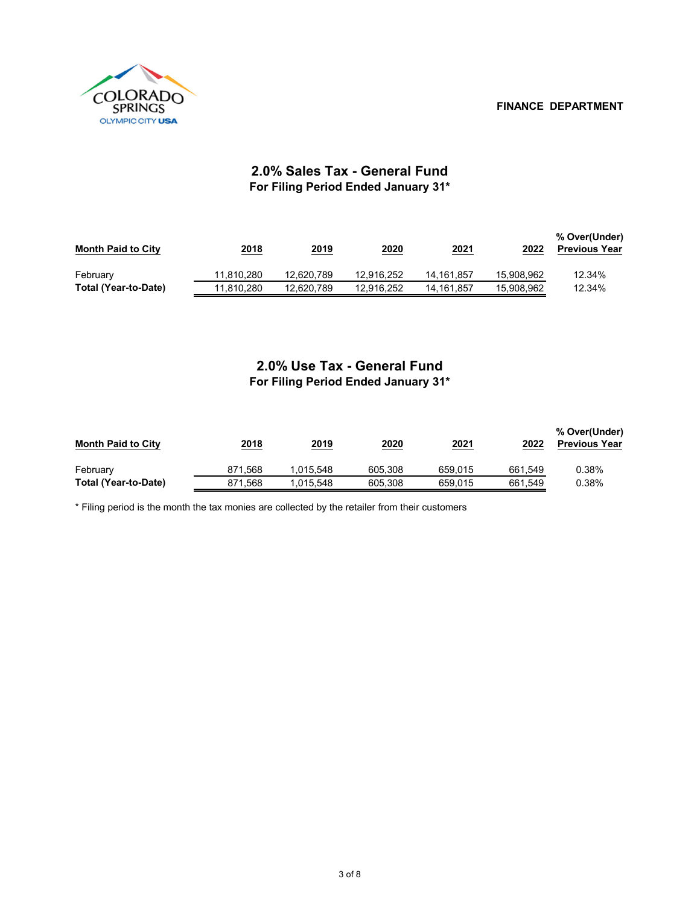

### **2.0% Sales Tax - General Fund For Filing Period Ended January 31\***

| <b>Month Paid to City</b> | 2018       | 2019       | 2020       | <u>2021</u> | 2022       | % Over(Under)<br><b>Previous Year</b> |
|---------------------------|------------|------------|------------|-------------|------------|---------------------------------------|
| February                  | 11.810.280 | 12.620.789 | 12.916.252 | 14.161.857  | 15.908.962 | 12.34%                                |
| Total (Year-to-Date)      | 11.810.280 | 12.620.789 | 12.916.252 | 14.161.857  | 15.908.962 | 12.34%                                |

## **2.0% Use Tax - General Fund For Filing Period Ended January 31\***

| <b>Month Paid to City</b> | 2018    | 2019      | 2020    | 2021    | 2022    | % Over(Under)<br><b>Previous Year</b> |
|---------------------------|---------|-----------|---------|---------|---------|---------------------------------------|
| February                  | 871.568 | 1.015.548 | 605.308 | 659.015 | 661,549 | 0.38%                                 |
| Total (Year-to-Date)      | 871.568 | 1.015.548 | 605.308 | 659.015 | 661.549 | 0.38%                                 |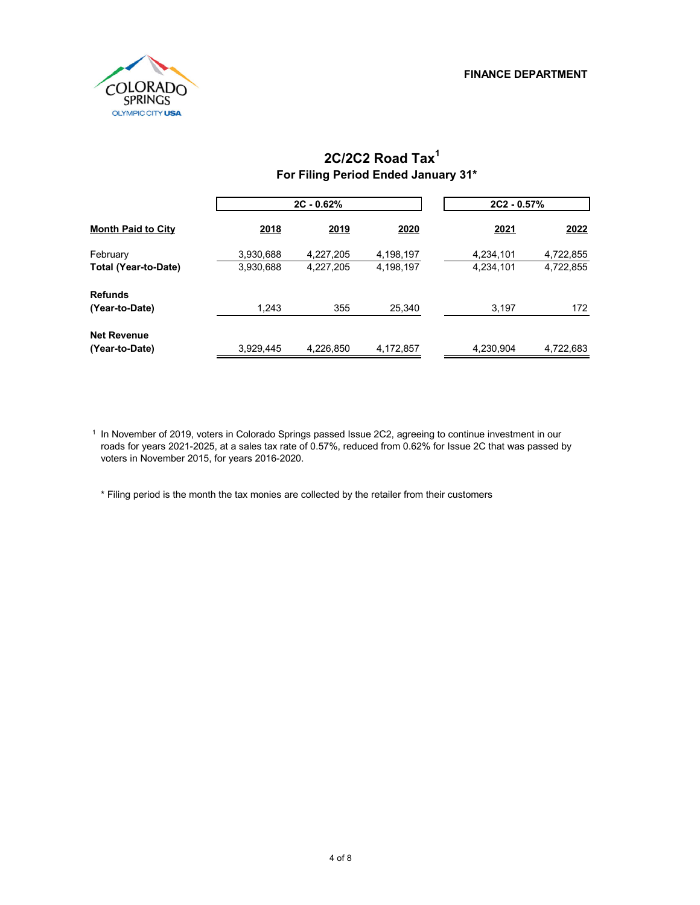

## **For Filing Period Ended January 31\* 2C/2C2 Road Tax1**

|                           |           | $2C - 0.62%$ |           | $2C2 - 0.57%$ |           |  |
|---------------------------|-----------|--------------|-----------|---------------|-----------|--|
| <b>Month Paid to City</b> | 2018      | 2019         | 2020      | 2021          | 2022      |  |
| February                  | 3,930,688 | 4,227,205    | 4,198,197 | 4,234,101     | 4,722,855 |  |
| Total (Year-to-Date)      | 3,930,688 | 4,227,205    | 4,198,197 | 4,234,101     | 4,722,855 |  |
| <b>Refunds</b>            |           |              |           |               |           |  |
| (Year-to-Date)            | 1,243     | 355          | 25,340    | 3,197         | 172       |  |
| <b>Net Revenue</b>        |           |              |           |               |           |  |
| (Year-to-Date)            | 3,929,445 | 4,226,850    | 4,172,857 | 4,230,904     | 4,722,683 |  |

1 In November of 2019, voters in Colorado Springs passed Issue 2C2, agreeing to continue investment in our roads for years 2021-2025, at a sales tax rate of 0.57%, reduced from 0.62% for Issue 2C that was passed by voters in November 2015, for years 2016-2020.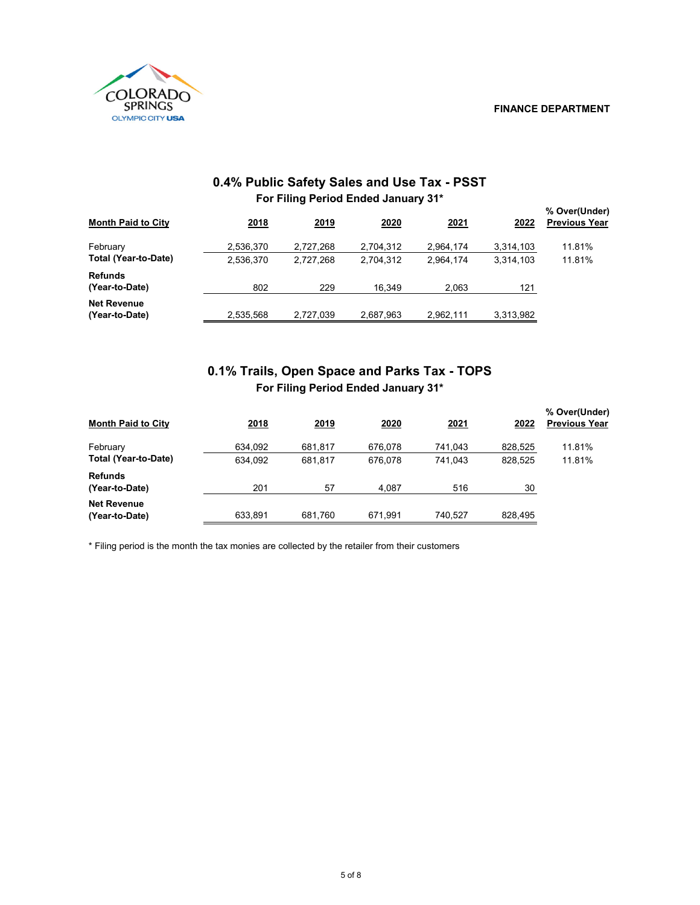

| For Filing Period Ended January 31*     |                        |                        |                        |                        |                        |                                       |  |
|-----------------------------------------|------------------------|------------------------|------------------------|------------------------|------------------------|---------------------------------------|--|
| <b>Month Paid to City</b>               | 2018                   | 2019                   | 2020                   | 2021                   | 2022                   | % Over(Under)<br><b>Previous Year</b> |  |
| February<br><b>Total (Year-to-Date)</b> | 2,536,370<br>2,536,370 | 2,727,268<br>2.727.268 | 2,704,312<br>2.704.312 | 2,964,174<br>2,964,174 | 3,314,103<br>3,314,103 | 11.81%<br>11.81%                      |  |
| <b>Refunds</b><br>(Year-to-Date)        | 802                    | 229                    | 16,349                 | 2,063                  | 121                    |                                       |  |
| <b>Net Revenue</b><br>(Year-to-Date)    | 2,535,568              | 2,727,039              | 2,687,963              | 2,962,111              | 3,313,982              |                                       |  |

#### **0.4% Public Safety Sales and Use Tax - PSST For Filing Period Ended January 31\***

### **For Filing Period Ended January 31\* 0.1% Trails, Open Space and Parks Tax - TOPS**

| <b>Month Paid to City</b>            | 2018    | 2019    | 2020    | 2021    | 2022    | % Over(Under)<br><b>Previous Year</b> |
|--------------------------------------|---------|---------|---------|---------|---------|---------------------------------------|
| February                             | 634,092 | 681.817 | 676.078 | 741.043 | 828,525 | 11.81%                                |
| <b>Total (Year-to-Date)</b>          | 634.092 | 681.817 | 676.078 | 741.043 | 828.525 | 11.81%                                |
| <b>Refunds</b>                       |         |         |         |         |         |                                       |
| (Year-to-Date)                       | 201     | 57      | 4,087   | 516     | 30      |                                       |
| <b>Net Revenue</b><br>(Year-to-Date) | 633,891 | 681.760 | 671.991 | 740.527 | 828,495 |                                       |
|                                      |         |         |         |         |         |                                       |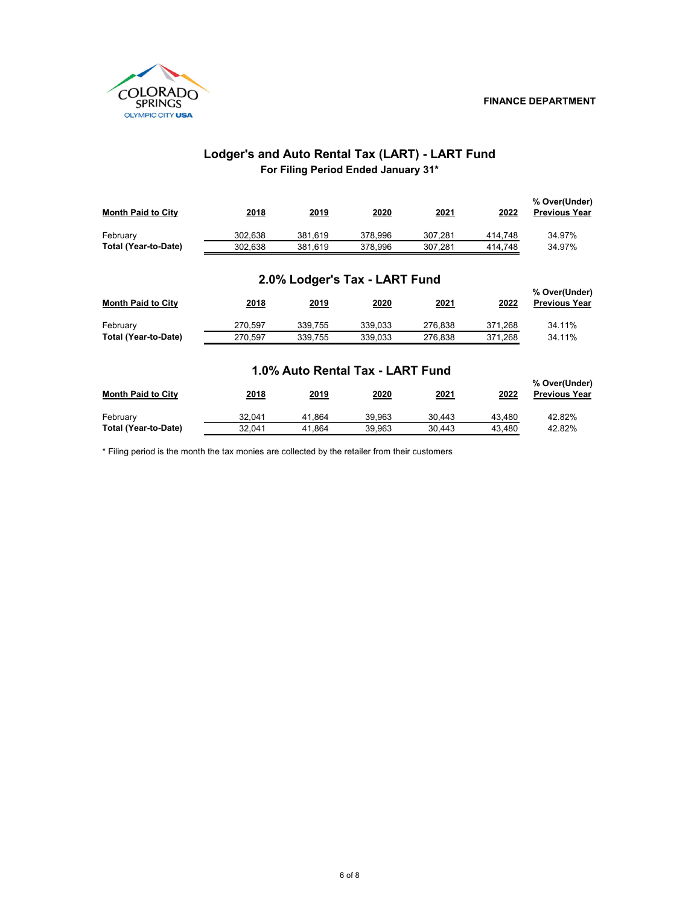

#### **For Filing Period Ended January 31\* Lodger's and Auto Rental Tax (LART) - LART Fund**

| <b>Month Paid to City</b> | 2018    | 2019    | 2020    | 2021    | 2022    | % Over(Under)<br><b>Previous Year</b> |
|---------------------------|---------|---------|---------|---------|---------|---------------------------------------|
| February                  | 302.638 | 381.619 | 378.996 | 307.281 | 414.748 | 34.97%                                |
| Total (Year-to-Date)      | 302.638 | 381.619 | 378.996 | 307.281 | 414.748 | 34.97%                                |

#### **2.0% Lodger's Tax - LART Fund**

| <b>Month Paid to City</b> | 2018    | 2019    | 2020    | 2021    | 2022    | % Over(Under)<br><b>Previous Year</b> |
|---------------------------|---------|---------|---------|---------|---------|---------------------------------------|
| February                  | 270.597 | 339.755 | 339.033 | 276.838 | 371.268 | 34.11%                                |
| Total (Year-to-Date)      | 270.597 | 339.755 | 339.033 | 276.838 | 371.268 | 34.11%                                |

#### **1.0% Auto Rental Tax - LART Fund**

|                           |        |        |        |        |        | % Over(Under)<br><b>Previous Year</b> |
|---------------------------|--------|--------|--------|--------|--------|---------------------------------------|
| <b>Month Paid to City</b> | 2018   | 2019   | 2020   | 2021   | 2022   |                                       |
| February                  | 32.041 | 41.864 | 39.963 | 30.443 | 43.480 | 42.82%                                |
| Total (Year-to-Date)      | 32.041 | 41.864 | 39.963 | 30.443 | 43.480 | 42.82%                                |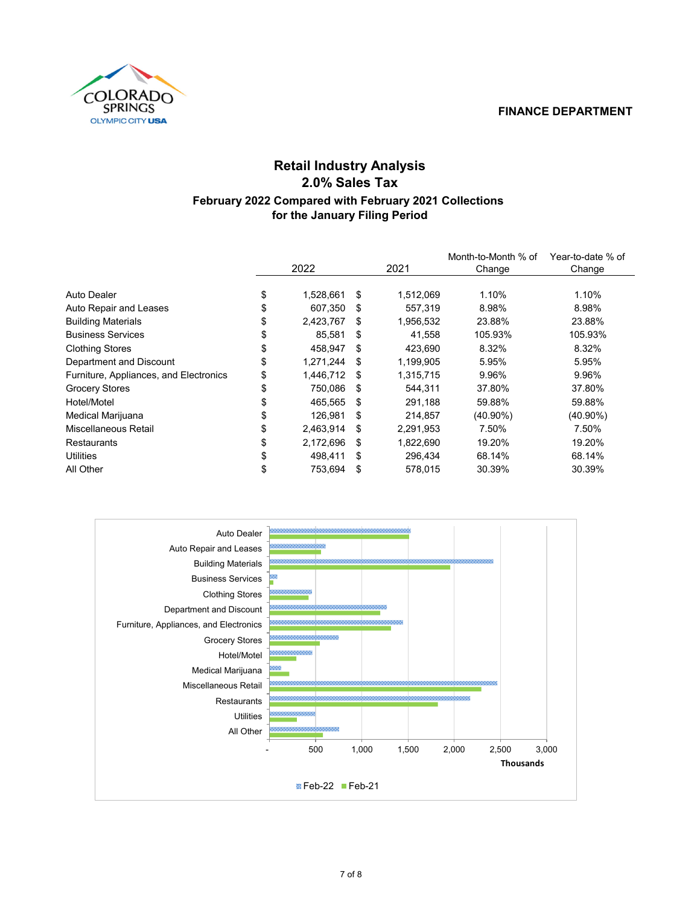#### **FINANCE DEPARTMENT**



## **for the January Filing Period Retail Industry Analysis 2.0% Sales Tax February 2022 Compared with February 2021 Collections**

|                 |     |           | Month-to-Month % of | Year-to-date % of |
|-----------------|-----|-----------|---------------------|-------------------|
| 2022            |     | 2021      | Change              | Change            |
|                 |     |           |                     |                   |
| \$<br>1,528,661 | \$  | 1,512,069 | 1.10%               | 1.10%             |
| \$<br>607.350   | \$. | 557,319   | 8.98%               | 8.98%             |
| \$<br>2,423,767 | \$. | 1,956,532 | 23.88%              | 23.88%            |
| \$<br>85,581    | \$  | 41,558    | 105.93%             | 105.93%           |
| \$<br>458.947   | S   | 423,690   | 8.32%               | 8.32%             |
| \$<br>1,271,244 | -S  | 1,199,905 | 5.95%               | 5.95%             |
| \$<br>1,446,712 | -S  | 1,315,715 | 9.96%               | 9.96%             |
| \$<br>750,086   | -S  | 544,311   | 37.80%              | 37.80%            |
| \$<br>465,565   | -S  | 291,188   | 59.88%              | 59.88%            |
| \$<br>126.981   | \$  | 214,857   | $(40.90\%)$         | $(40.90\%)$       |
| \$<br>2,463,914 | \$  | 2,291,953 | 7.50%               | 7.50%             |
| \$<br>2,172,696 | -S  | 1,822,690 | 19.20%              | 19.20%            |
| \$<br>498.411   | \$  | 296,434   | 68.14%              | 68.14%            |
| \$<br>753.694   | \$  | 578.015   | 30.39%              | 30.39%            |
|                 |     |           |                     |                   |